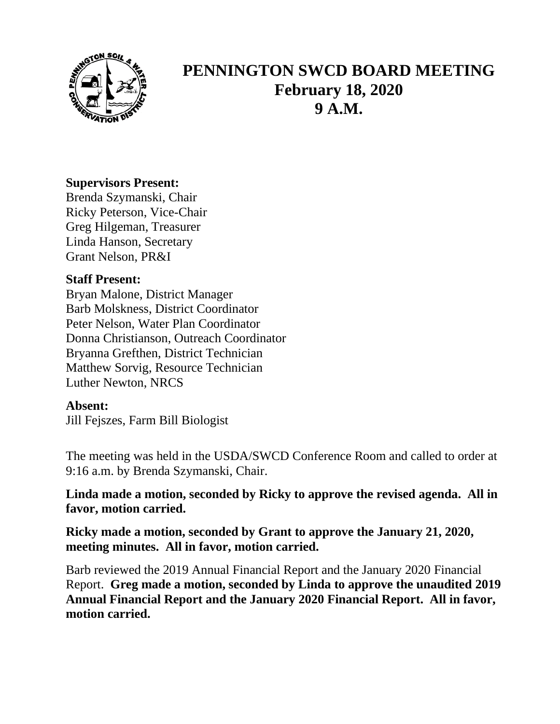

# **PENNINGTON SWCD BOARD MEETING February 18, 2020 9 A.M.**

### **Supervisors Present:**

Brenda Szymanski, Chair Ricky Peterson, Vice-Chair Greg Hilgeman, Treasurer Linda Hanson, Secretary Grant Nelson, PR&I

#### **Staff Present:**

Bryan Malone, District Manager Barb Molskness, District Coordinator Peter Nelson, Water Plan Coordinator Donna Christianson, Outreach Coordinator Bryanna Grefthen, District Technician Matthew Sorvig, Resource Technician Luther Newton, NRCS

#### **Absent:**

Jill Fejszes, Farm Bill Biologist

The meeting was held in the USDA/SWCD Conference Room and called to order at 9:16 a.m. by Brenda Szymanski, Chair.

**Linda made a motion, seconded by Ricky to approve the revised agenda. All in favor, motion carried.**

**Ricky made a motion, seconded by Grant to approve the January 21, 2020, meeting minutes. All in favor, motion carried.**

Barb reviewed the 2019 Annual Financial Report and the January 2020 Financial Report. **Greg made a motion, seconded by Linda to approve the unaudited 2019 Annual Financial Report and the January 2020 Financial Report. All in favor, motion carried.**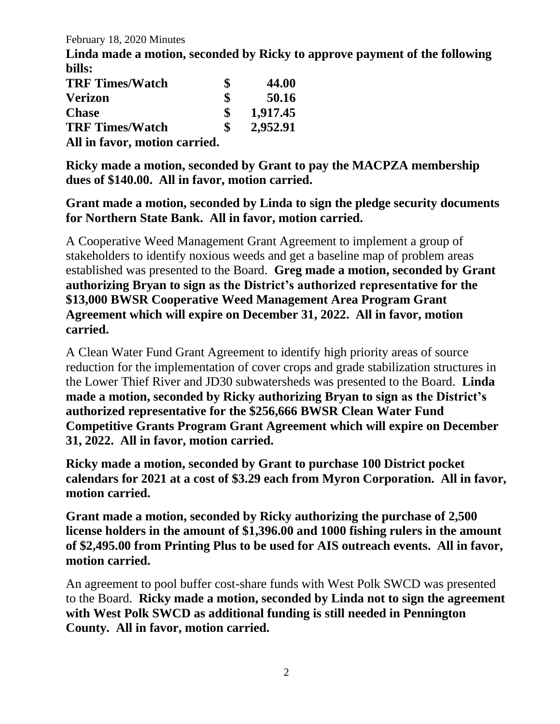February 18, 2020 Minutes

**Linda made a motion, seconded by Ricky to approve payment of the following bills:**

| <b>TRF Times/Watch</b>        | \$ | 44.00    |
|-------------------------------|----|----------|
| <b>Verizon</b>                | \$ | 50.16    |
| <b>Chase</b>                  | \$ | 1,917.45 |
| <b>TRF Times/Watch</b>        | S  | 2,952.91 |
| All in favor, motion carried. |    |          |

**Ricky made a motion, seconded by Grant to pay the MACPZA membership dues of \$140.00. All in favor, motion carried.**

**Grant made a motion, seconded by Linda to sign the pledge security documents for Northern State Bank. All in favor, motion carried.**

A Cooperative Weed Management Grant Agreement to implement a group of stakeholders to identify noxious weeds and get a baseline map of problem areas established was presented to the Board. **Greg made a motion, seconded by Grant authorizing Bryan to sign as the District's authorized representative for the \$13,000 BWSR Cooperative Weed Management Area Program Grant Agreement which will expire on December 31, 2022. All in favor, motion carried.** 

A Clean Water Fund Grant Agreement to identify high priority areas of source reduction for the implementation of cover crops and grade stabilization structures in the Lower Thief River and JD30 subwatersheds was presented to the Board. **Linda made a motion, seconded by Ricky authorizing Bryan to sign as the District's authorized representative for the \$256,666 BWSR Clean Water Fund Competitive Grants Program Grant Agreement which will expire on December 31, 2022. All in favor, motion carried.**

**Ricky made a motion, seconded by Grant to purchase 100 District pocket calendars for 2021 at a cost of \$3.29 each from Myron Corporation. All in favor, motion carried.**

**Grant made a motion, seconded by Ricky authorizing the purchase of 2,500 license holders in the amount of \$1,396.00 and 1000 fishing rulers in the amount of \$2,495.00 from Printing Plus to be used for AIS outreach events. All in favor, motion carried.**

An agreement to pool buffer cost-share funds with West Polk SWCD was presented to the Board. **Ricky made a motion, seconded by Linda not to sign the agreement with West Polk SWCD as additional funding is still needed in Pennington County. All in favor, motion carried.**